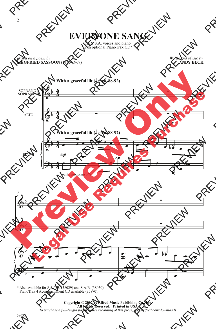## **EVERYONE SANG**

for S.S.A. voices and piano with optional PianoTrax CD\*

*Based on a poem by* **SIEGFRIED SASSOON** (1886-1967)

*Words and Music by* **ANDY BECK**



\* Also available for S.A.T.B. (38029) and S.A.B. (38030). PianoTrax 4 Accompaniment CD available (35870).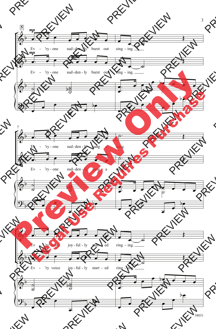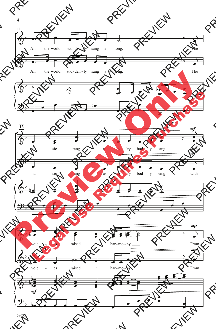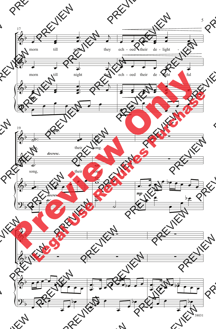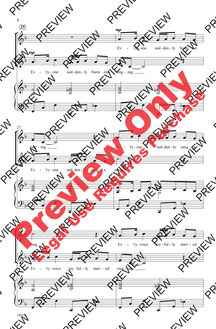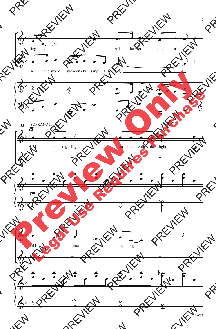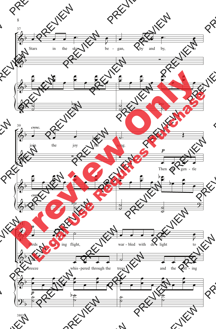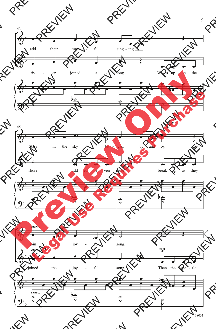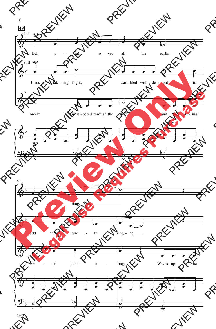![](_page_8_Figure_0.jpeg)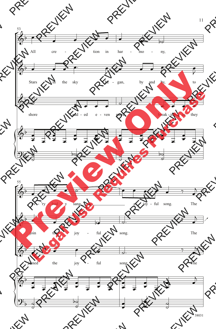![](_page_9_Figure_0.jpeg)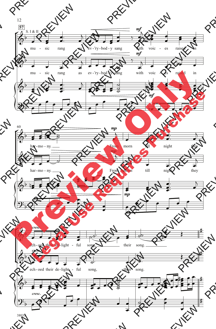![](_page_10_Figure_0.jpeg)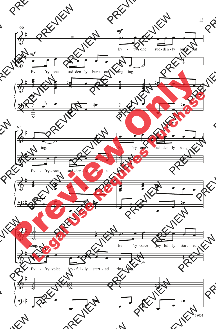![](_page_11_Figure_0.jpeg)